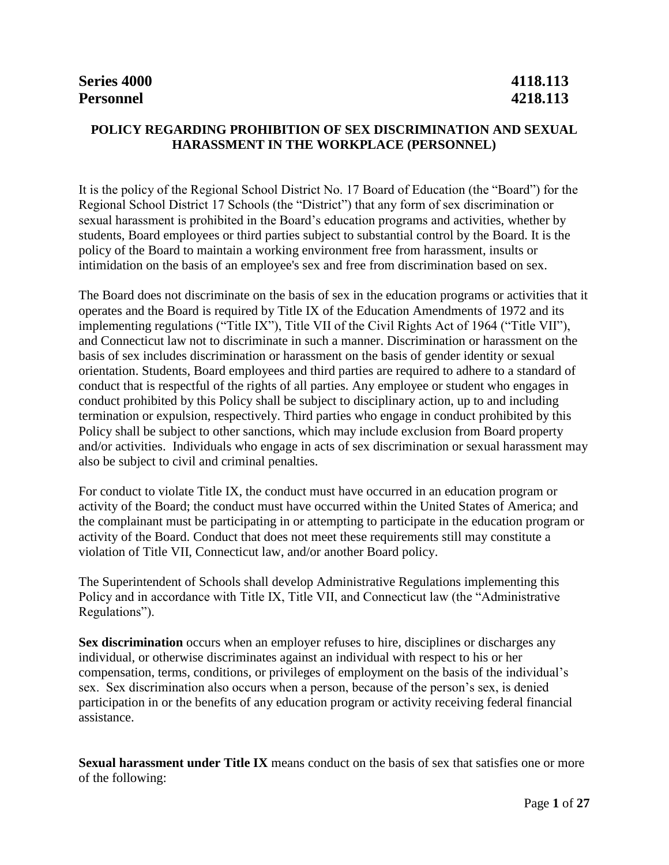### **POLICY REGARDING PROHIBITION OF SEX DISCRIMINATION AND SEXUAL HARASSMENT IN THE WORKPLACE (PERSONNEL)**

It is the policy of the Regional School District No. 17 Board of Education (the "Board") for the Regional School District 17 Schools (the "District") that any form of sex discrimination or sexual harassment is prohibited in the Board's education programs and activities, whether by students, Board employees or third parties subject to substantial control by the Board. It is the policy of the Board to maintain a working environment free from harassment, insults or intimidation on the basis of an employee's sex and free from discrimination based on sex.

The Board does not discriminate on the basis of sex in the education programs or activities that it operates and the Board is required by Title IX of the Education Amendments of 1972 and its implementing regulations ("Title IX"), Title VII of the Civil Rights Act of 1964 ("Title VII"), and Connecticut law not to discriminate in such a manner. Discrimination or harassment on the basis of sex includes discrimination or harassment on the basis of gender identity or sexual orientation. Students, Board employees and third parties are required to adhere to a standard of conduct that is respectful of the rights of all parties. Any employee or student who engages in conduct prohibited by this Policy shall be subject to disciplinary action, up to and including termination or expulsion, respectively. Third parties who engage in conduct prohibited by this Policy shall be subject to other sanctions, which may include exclusion from Board property and/or activities. Individuals who engage in acts of sex discrimination or sexual harassment may also be subject to civil and criminal penalties.

For conduct to violate Title IX, the conduct must have occurred in an education program or activity of the Board; the conduct must have occurred within the United States of America; and the complainant must be participating in or attempting to participate in the education program or activity of the Board. Conduct that does not meet these requirements still may constitute a violation of Title VII, Connecticut law, and/or another Board policy.

The Superintendent of Schools shall develop Administrative Regulations implementing this Policy and in accordance with Title IX, Title VII, and Connecticut law (the "Administrative Regulations").

**Sex discrimination** occurs when an employer refuses to hire, disciplines or discharges any individual, or otherwise discriminates against an individual with respect to his or her compensation, terms, conditions, or privileges of employment on the basis of the individual's sex. Sex discrimination also occurs when a person, because of the person's sex, is denied participation in or the benefits of any education program or activity receiving federal financial assistance.

**Sexual harassment under Title IX** means conduct on the basis of sex that satisfies one or more of the following: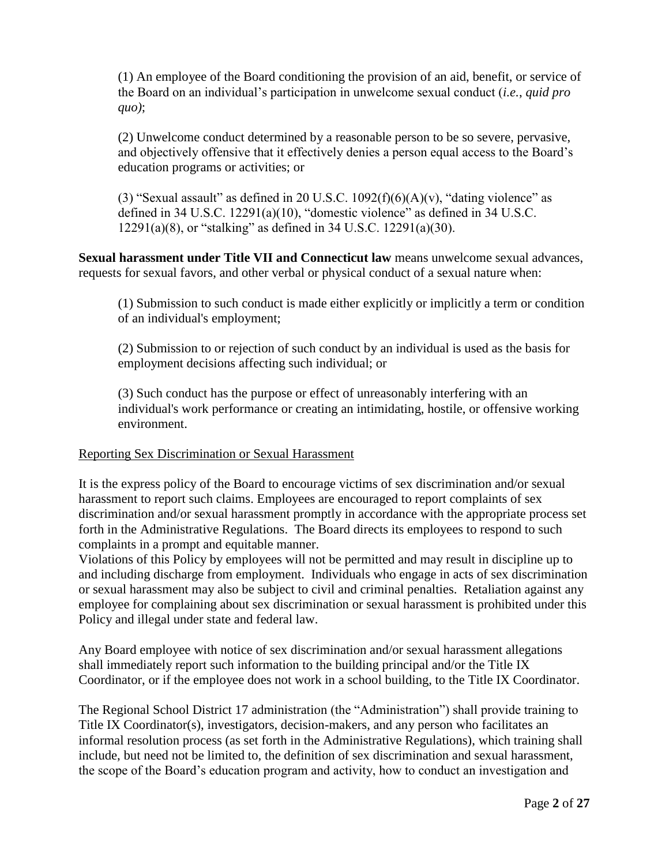(1) An employee of the Board conditioning the provision of an aid, benefit, or service of the Board on an individual's participation in unwelcome sexual conduct (*i.e.*, *quid pro quo)*;

(2) Unwelcome conduct determined by a reasonable person to be so severe, pervasive, and objectively offensive that it effectively denies a person equal access to the Board's education programs or activities; or

(3) "Sexual assault" as defined in 20 U.S.C.  $1092(f)(6)(A)(v)$ , "dating violence" as defined in 34 U.S.C. 12291(a)(10), "domestic violence" as defined in 34 U.S.C. 12291(a)(8), or "stalking" as defined in 34 U.S.C. 12291(a)(30).

**Sexual harassment under Title VII and Connecticut law** means unwelcome sexual advances, requests for sexual favors, and other verbal or physical conduct of a sexual nature when:

(1) Submission to such conduct is made either explicitly or implicitly a term or condition of an individual's employment;

(2) Submission to or rejection of such conduct by an individual is used as the basis for employment decisions affecting such individual; or

(3) Such conduct has the purpose or effect of unreasonably interfering with an individual's work performance or creating an intimidating, hostile, or offensive working environment.

### Reporting Sex Discrimination or Sexual Harassment

It is the express policy of the Board to encourage victims of sex discrimination and/or sexual harassment to report such claims. Employees are encouraged to report complaints of sex discrimination and/or sexual harassment promptly in accordance with the appropriate process set forth in the Administrative Regulations. The Board directs its employees to respond to such complaints in a prompt and equitable manner.

Violations of this Policy by employees will not be permitted and may result in discipline up to and including discharge from employment. Individuals who engage in acts of sex discrimination or sexual harassment may also be subject to civil and criminal penalties. Retaliation against any employee for complaining about sex discrimination or sexual harassment is prohibited under this Policy and illegal under state and federal law.

Any Board employee with notice of sex discrimination and/or sexual harassment allegations shall immediately report such information to the building principal and/or the Title IX Coordinator, or if the employee does not work in a school building, to the Title IX Coordinator.

The Regional School District 17 administration (the "Administration") shall provide training to Title IX Coordinator(s), investigators, decision-makers, and any person who facilitates an informal resolution process (as set forth in the Administrative Regulations), which training shall include, but need not be limited to, the definition of sex discrimination and sexual harassment, the scope of the Board's education program and activity, how to conduct an investigation and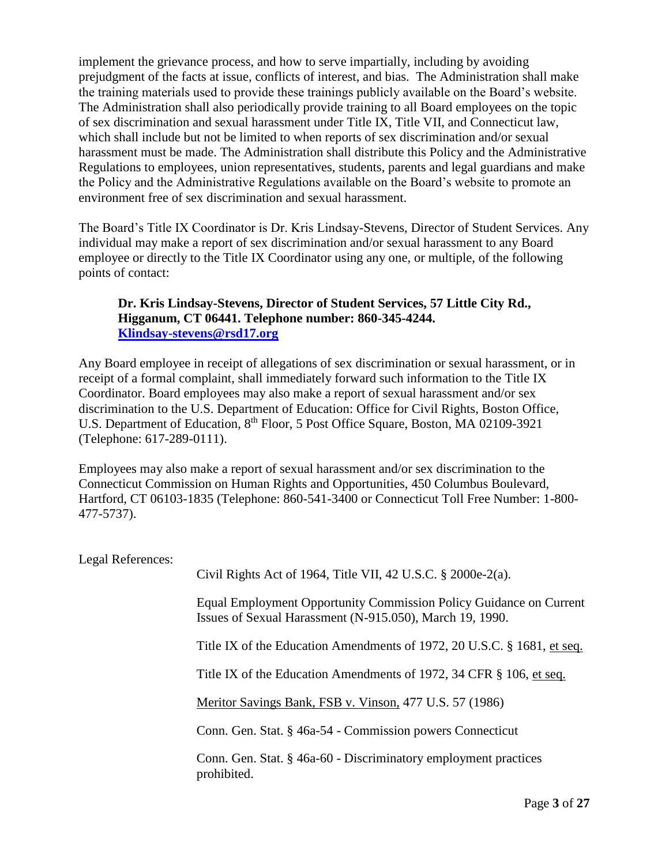implement the grievance process, and how to serve impartially, including by avoiding prejudgment of the facts at issue, conflicts of interest, and bias. The Administration shall make the training materials used to provide these trainings publicly available on the Board's website. The Administration shall also periodically provide training to all Board employees on the topic of sex discrimination and sexual harassment under Title IX, Title VII, and Connecticut law, which shall include but not be limited to when reports of sex discrimination and/or sexual harassment must be made. The Administration shall distribute this Policy and the Administrative Regulations to employees, union representatives, students, parents and legal guardians and make the Policy and the Administrative Regulations available on the Board's website to promote an environment free of sex discrimination and sexual harassment.

The Board's Title IX Coordinator is Dr. Kris Lindsay-Stevens, Director of Student Services. Any individual may make a report of sex discrimination and/or sexual harassment to any Board employee or directly to the Title IX Coordinator using any one, or multiple, of the following points of contact:

#### **Dr. Kris Lindsay-Stevens, Director of Student Services, 57 Little City Rd., Higganum, CT 06441. Telephone number: 860-345-4244. [Klindsay-stevens@rsd17.org](mailto:Klindsay-stevens@rsd17.org)**

Any Board employee in receipt of allegations of sex discrimination or sexual harassment, or in receipt of a formal complaint, shall immediately forward such information to the Title IX Coordinator. Board employees may also make a report of sexual harassment and/or sex discrimination to the U.S. Department of Education: Office for Civil Rights, Boston Office, U.S. Department of Education, 8<sup>th</sup> Floor, 5 Post Office Square, Boston, MA 02109-3921 (Telephone: 617-289-0111).

Employees may also make a report of sexual harassment and/or sex discrimination to the Connecticut Commission on Human Rights and Opportunities, 450 Columbus Boulevard, Hartford, CT 06103-1835 (Telephone: 860-541-3400 or Connecticut Toll Free Number: 1-800- 477-5737).

| Legal References: |                                                                                                                                |
|-------------------|--------------------------------------------------------------------------------------------------------------------------------|
|                   | Civil Rights Act of 1964, Title VII, 42 U.S.C. $\S 2000e-2(a)$ .                                                               |
|                   | Equal Employment Opportunity Commission Policy Guidance on Current<br>Issues of Sexual Harassment (N-915.050), March 19, 1990. |
|                   | Title IX of the Education Amendments of 1972, 20 U.S.C. § 1681, et seq.                                                        |
|                   | Title IX of the Education Amendments of 1972, 34 CFR § 106, et seq.                                                            |
|                   | Meritor Savings Bank, FSB v. Vinson, 477 U.S. 57 (1986)                                                                        |
|                   | Conn. Gen. Stat. § 46a-54 - Commission powers Connecticut                                                                      |
|                   | Conn. Gen. Stat. § 46a-60 - Discriminatory employment practices<br>prohibited.                                                 |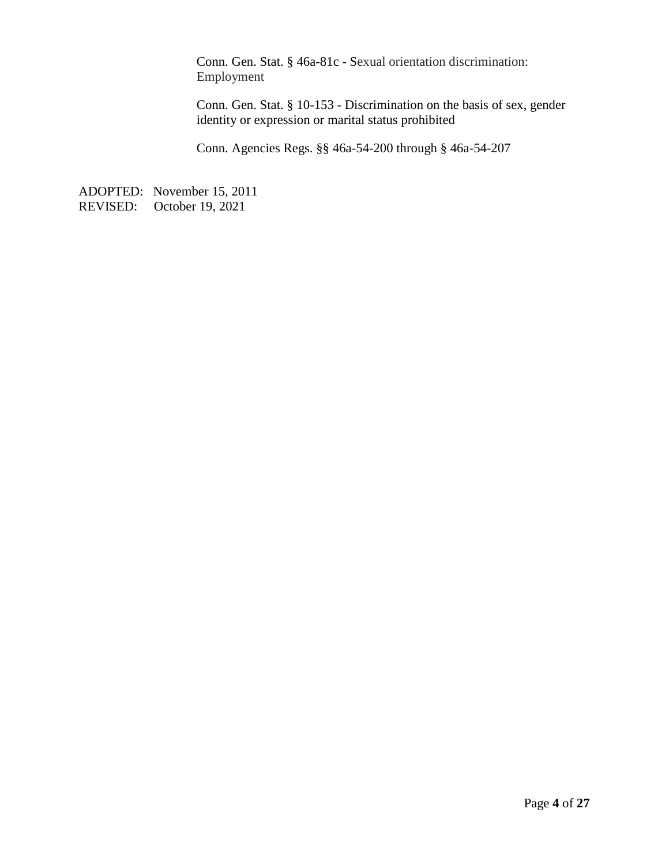Conn. Gen. Stat. § 46a-81c - Sexual orientation discrimination: Employment

Conn. Gen. Stat. § 10-153 - Discrimination on the basis of sex, gender identity or expression or marital status prohibited

Conn. Agencies Regs. §§ 46a-54-200 through § 46a-54-207

ADOPTED: November 15, 2011 REVISED: October 19, 2021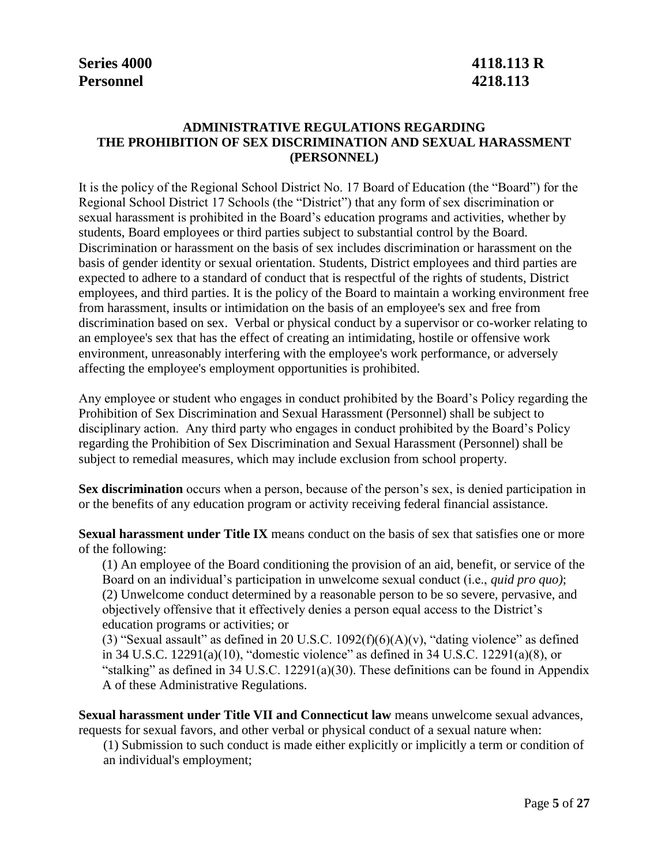# **Personnel 4218.113**

# **Series 4000 4118.113 R**

### **ADMINISTRATIVE REGULATIONS REGARDING THE PROHIBITION OF SEX DISCRIMINATION AND SEXUAL HARASSMENT (PERSONNEL)**

It is the policy of the Regional School District No. 17 Board of Education (the "Board") for the Regional School District 17 Schools (the "District") that any form of sex discrimination or sexual harassment is prohibited in the Board's education programs and activities, whether by students, Board employees or third parties subject to substantial control by the Board. Discrimination or harassment on the basis of sex includes discrimination or harassment on the basis of gender identity or sexual orientation. Students, District employees and third parties are expected to adhere to a standard of conduct that is respectful of the rights of students, District employees, and third parties. It is the policy of the Board to maintain a working environment free from harassment, insults or intimidation on the basis of an employee's sex and free from discrimination based on sex. Verbal or physical conduct by a supervisor or co-worker relating to an employee's sex that has the effect of creating an intimidating, hostile or offensive work environment, unreasonably interfering with the employee's work performance, or adversely affecting the employee's employment opportunities is prohibited.

Any employee or student who engages in conduct prohibited by the Board's Policy regarding the Prohibition of Sex Discrimination and Sexual Harassment (Personnel) shall be subject to disciplinary action. Any third party who engages in conduct prohibited by the Board's Policy regarding the Prohibition of Sex Discrimination and Sexual Harassment (Personnel) shall be subject to remedial measures, which may include exclusion from school property.

**Sex discrimination** occurs when a person, because of the person's sex, is denied participation in or the benefits of any education program or activity receiving federal financial assistance.

**Sexual harassment under Title IX** means conduct on the basis of sex that satisfies one or more of the following:

(1) An employee of the Board conditioning the provision of an aid, benefit, or service of the Board on an individual's participation in unwelcome sexual conduct (i.e., *quid pro quo)*; (2) Unwelcome conduct determined by a reasonable person to be so severe, pervasive, and objectively offensive that it effectively denies a person equal access to the District's education programs or activities; or

(3) "Sexual assault" as defined in 20 U.S.C.  $1092(f)(6)(A)(v)$ , "dating violence" as defined in 34 U.S.C. 12291(a)(10), "domestic violence" as defined in 34 U.S.C. 12291(a)(8), or "stalking" as defined in 34 U.S.C. 12291(a)(30). These definitions can be found in Appendix A of these Administrative Regulations.

**Sexual harassment under Title VII and Connecticut law** means unwelcome sexual advances, requests for sexual favors, and other verbal or physical conduct of a sexual nature when:

(1) Submission to such conduct is made either explicitly or implicitly a term or condition of an individual's employment;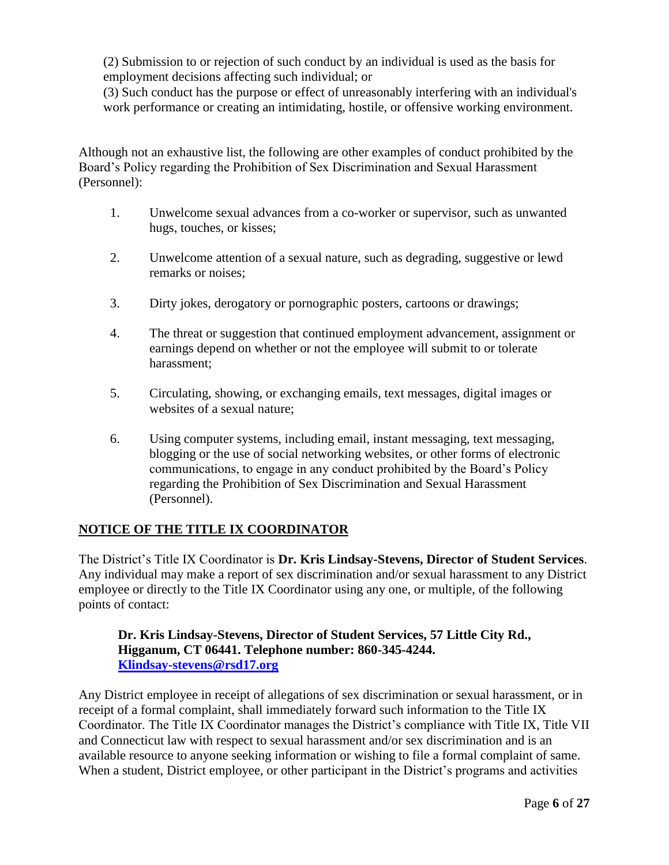(2) Submission to or rejection of such conduct by an individual is used as the basis for employment decisions affecting such individual; or

(3) Such conduct has the purpose or effect of unreasonably interfering with an individual's work performance or creating an intimidating, hostile, or offensive working environment.

Although not an exhaustive list, the following are other examples of conduct prohibited by the Board's Policy regarding the Prohibition of Sex Discrimination and Sexual Harassment (Personnel):

- 1. Unwelcome sexual advances from a co-worker or supervisor, such as unwanted hugs, touches, or kisses;
- 2. Unwelcome attention of a sexual nature, such as degrading, suggestive or lewd remarks or noises;
- 3. Dirty jokes, derogatory or pornographic posters, cartoons or drawings;
- 4. The threat or suggestion that continued employment advancement, assignment or earnings depend on whether or not the employee will submit to or tolerate harassment;
- 5. Circulating, showing, or exchanging emails, text messages, digital images or websites of a sexual nature;
- 6. Using computer systems, including email, instant messaging, text messaging, blogging or the use of social networking websites, or other forms of electronic communications, to engage in any conduct prohibited by the Board's Policy regarding the Prohibition of Sex Discrimination and Sexual Harassment (Personnel).

### **NOTICE OF THE TITLE IX COORDINATOR**

The District's Title IX Coordinator is **Dr. Kris Lindsay-Stevens, Director of Student Services**. Any individual may make a report of sex discrimination and/or sexual harassment to any District employee or directly to the Title IX Coordinator using any one, or multiple, of the following points of contact:

#### **Dr. Kris Lindsay-Stevens, Director of Student Services, 57 Little City Rd., Higganum, CT 06441. Telephone number: 860-345-4244. [Klindsay-stevens@rsd17.org](mailto:Klindsay-stevens@rsd17.org)**

Any District employee in receipt of allegations of sex discrimination or sexual harassment, or in receipt of a formal complaint, shall immediately forward such information to the Title IX Coordinator. The Title IX Coordinator manages the District's compliance with Title IX, Title VII and Connecticut law with respect to sexual harassment and/or sex discrimination and is an available resource to anyone seeking information or wishing to file a formal complaint of same. When a student, District employee, or other participant in the District's programs and activities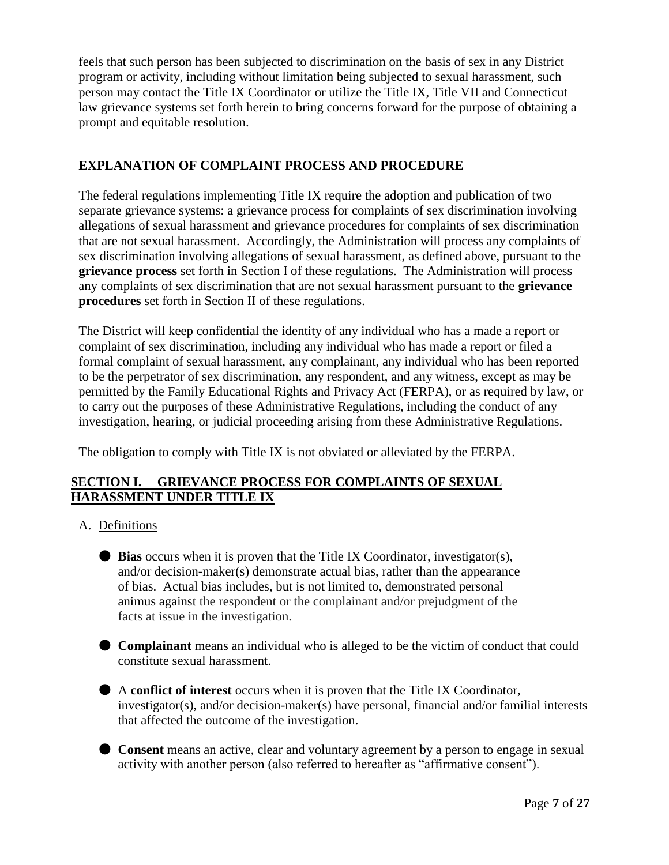feels that such person has been subjected to discrimination on the basis of sex in any District program or activity, including without limitation being subjected to sexual harassment, such person may contact the Title IX Coordinator or utilize the Title IX, Title VII and Connecticut law grievance systems set forth herein to bring concerns forward for the purpose of obtaining a prompt and equitable resolution.

### **EXPLANATION OF COMPLAINT PROCESS AND PROCEDURE**

The federal regulations implementing Title IX require the adoption and publication of two separate grievance systems: a grievance process for complaints of sex discrimination involving allegations of sexual harassment and grievance procedures for complaints of sex discrimination that are not sexual harassment. Accordingly, the Administration will process any complaints of sex discrimination involving allegations of sexual harassment, as defined above, pursuant to the **grievance process** set forth in Section I of these regulations. The Administration will process any complaints of sex discrimination that are not sexual harassment pursuant to the **grievance procedures** set forth in Section II of these regulations.

The District will keep confidential the identity of any individual who has a made a report or complaint of sex discrimination, including any individual who has made a report or filed a formal complaint of sexual harassment, any complainant, any individual who has been reported to be the perpetrator of sex discrimination, any respondent, and any witness, except as may be permitted by the Family Educational Rights and Privacy Act (FERPA), or as required by law, or to carry out the purposes of these Administrative Regulations, including the conduct of any investigation, hearing, or judicial proceeding arising from these Administrative Regulations.

The obligation to comply with Title IX is not obviated or alleviated by the FERPA.

### **SECTION I. GRIEVANCE PROCESS FOR COMPLAINTS OF SEXUAL HARASSMENT UNDER TITLE IX**

### A. Definitions

- **Bias** occurs when it is proven that the Title IX Coordinator, investigator(s), and/or decision-maker(s) demonstrate actual bias, rather than the appearance of bias. Actual bias includes, but is not limited to, demonstrated personal animus against the respondent or the complainant and/or prejudgment of the facts at issue in the investigation.
- **Complainant** means an individual who is alleged to be the victim of conduct that could constitute sexual harassment.
- A **conflict of interest** occurs when it is proven that the Title IX Coordinator, investigator(s), and/or decision-maker(s) have personal, financial and/or familial interests that affected the outcome of the investigation.
- **Consent** means an active, clear and voluntary agreement by a person to engage in sexual activity with another person (also referred to hereafter as "affirmative consent").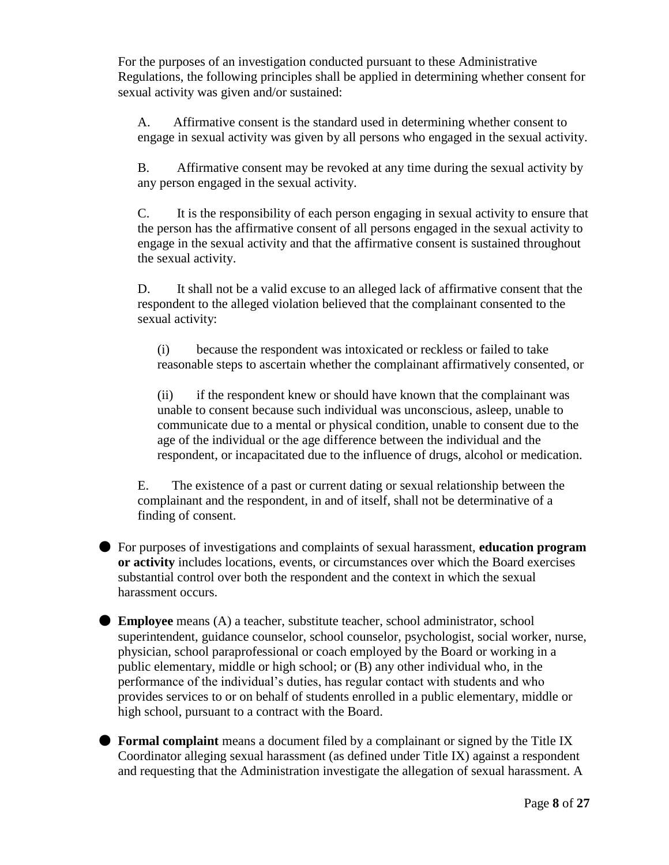For the purposes of an investigation conducted pursuant to these Administrative Regulations, the following principles shall be applied in determining whether consent for sexual activity was given and/or sustained:

A. Affirmative consent is the standard used in determining whether consent to engage in sexual activity was given by all persons who engaged in the sexual activity.

B. Affirmative consent may be revoked at any time during the sexual activity by any person engaged in the sexual activity.

C. It is the responsibility of each person engaging in sexual activity to ensure that the person has the affirmative consent of all persons engaged in the sexual activity to engage in the sexual activity and that the affirmative consent is sustained throughout the sexual activity.

D. It shall not be a valid excuse to an alleged lack of affirmative consent that the respondent to the alleged violation believed that the complainant consented to the sexual activity:

(i) because the respondent was intoxicated or reckless or failed to take reasonable steps to ascertain whether the complainant affirmatively consented, or

(ii) if the respondent knew or should have known that the complainant was unable to consent because such individual was unconscious, asleep, unable to communicate due to a mental or physical condition, unable to consent due to the age of the individual or the age difference between the individual and the respondent, or incapacitated due to the influence of drugs, alcohol or medication.

E. The existence of a past or current dating or sexual relationship between the complainant and the respondent, in and of itself, shall not be determinative of a finding of consent.

● For purposes of investigations and complaints of sexual harassment, **education program or activity** includes locations, events, or circumstances over which the Board exercises substantial control over both the respondent and the context in which the sexual harassment occurs.

● **Employee** means (A) a teacher, substitute teacher, school administrator, school superintendent, guidance counselor, school counselor, psychologist, social worker, nurse, physician, school paraprofessional or coach employed by the Board or working in a public elementary, middle or high school; or (B) any other individual who, in the performance of the individual's duties, has regular contact with students and who provides services to or on behalf of students enrolled in a public elementary, middle or high school, pursuant to a contract with the Board.

**• Formal complaint** means a document filed by a complainant or signed by the Title IX Coordinator alleging sexual harassment (as defined under Title IX) against a respondent and requesting that the Administration investigate the allegation of sexual harassment. A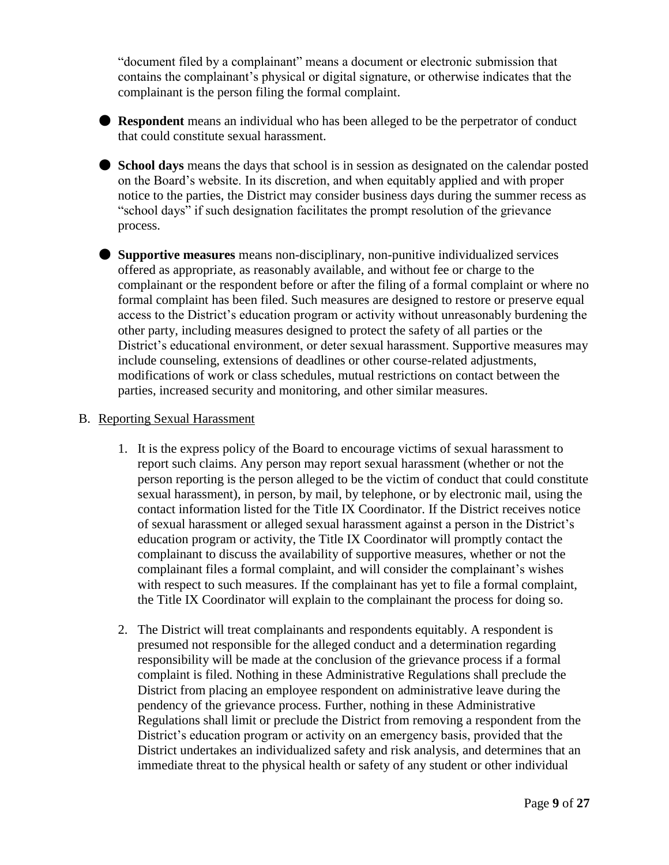"document filed by a complainant" means a document or electronic submission that contains the complainant's physical or digital signature, or otherwise indicates that the complainant is the person filing the formal complaint.



● **Respondent** means an individual who has been alleged to be the perpetrator of conduct that could constitute sexual harassment.

● **School days** means the days that school is in session as designated on the calendar posted on the Board's website. In its discretion, and when equitably applied and with proper notice to the parties, the District may consider business days during the summer recess as "school days" if such designation facilitates the prompt resolution of the grievance process.

● **Supportive measures** means non-disciplinary, non-punitive individualized services offered as appropriate, as reasonably available, and without fee or charge to the complainant or the respondent before or after the filing of a formal complaint or where no formal complaint has been filed. Such measures are designed to restore or preserve equal access to the District's education program or activity without unreasonably burdening the other party, including measures designed to protect the safety of all parties or the District's educational environment, or deter sexual harassment. Supportive measures may include counseling, extensions of deadlines or other course-related adjustments, modifications of work or class schedules, mutual restrictions on contact between the parties, increased security and monitoring, and other similar measures.

#### B. Reporting Sexual Harassment

- 1. It is the express policy of the Board to encourage victims of sexual harassment to report such claims. Any person may report sexual harassment (whether or not the person reporting is the person alleged to be the victim of conduct that could constitute sexual harassment), in person, by mail, by telephone, or by electronic mail, using the contact information listed for the Title IX Coordinator. If the District receives notice of sexual harassment or alleged sexual harassment against a person in the District's education program or activity, the Title IX Coordinator will promptly contact the complainant to discuss the availability of supportive measures, whether or not the complainant files a formal complaint, and will consider the complainant's wishes with respect to such measures. If the complainant has yet to file a formal complaint, the Title IX Coordinator will explain to the complainant the process for doing so.
- 2. The District will treat complainants and respondents equitably. A respondent is presumed not responsible for the alleged conduct and a determination regarding responsibility will be made at the conclusion of the grievance process if a formal complaint is filed. Nothing in these Administrative Regulations shall preclude the District from placing an employee respondent on administrative leave during the pendency of the grievance process. Further, nothing in these Administrative Regulations shall limit or preclude the District from removing a respondent from the District's education program or activity on an emergency basis, provided that the District undertakes an individualized safety and risk analysis, and determines that an immediate threat to the physical health or safety of any student or other individual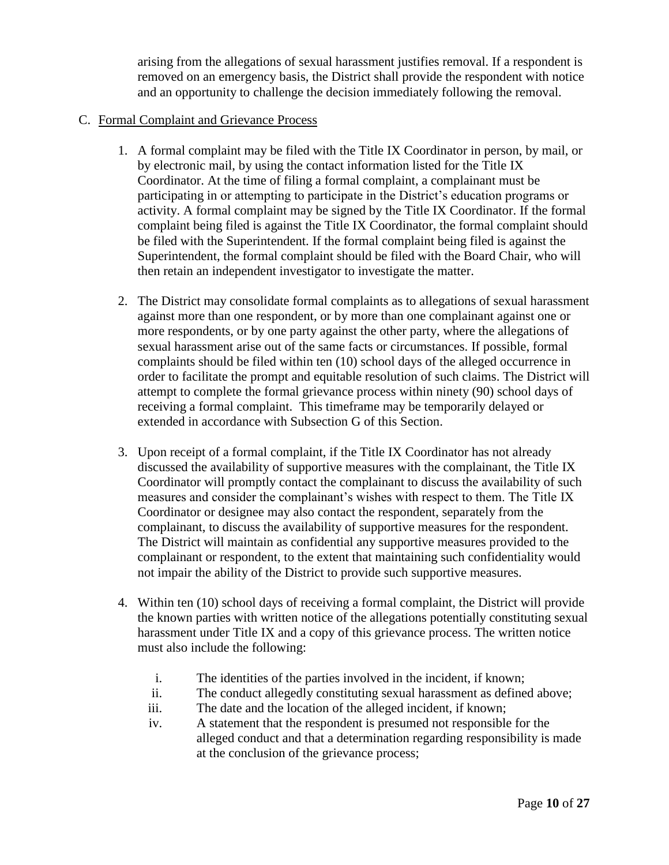arising from the allegations of sexual harassment justifies removal. If a respondent is removed on an emergency basis, the District shall provide the respondent with notice and an opportunity to challenge the decision immediately following the removal.

#### C. Formal Complaint and Grievance Process

- 1. A formal complaint may be filed with the Title IX Coordinator in person, by mail, or by electronic mail, by using the contact information listed for the Title IX Coordinator. At the time of filing a formal complaint, a complainant must be participating in or attempting to participate in the District's education programs or activity. A formal complaint may be signed by the Title IX Coordinator. If the formal complaint being filed is against the Title IX Coordinator, the formal complaint should be filed with the Superintendent. If the formal complaint being filed is against the Superintendent, the formal complaint should be filed with the Board Chair, who will then retain an independent investigator to investigate the matter.
- 2. The District may consolidate formal complaints as to allegations of sexual harassment against more than one respondent, or by more than one complainant against one or more respondents, or by one party against the other party, where the allegations of sexual harassment arise out of the same facts or circumstances. If possible, formal complaints should be filed within ten (10) school days of the alleged occurrence in order to facilitate the prompt and equitable resolution of such claims. The District will attempt to complete the formal grievance process within ninety (90) school days of receiving a formal complaint. This timeframe may be temporarily delayed or extended in accordance with Subsection G of this Section.
- 3. Upon receipt of a formal complaint, if the Title IX Coordinator has not already discussed the availability of supportive measures with the complainant, the Title IX Coordinator will promptly contact the complainant to discuss the availability of such measures and consider the complainant's wishes with respect to them. The Title IX Coordinator or designee may also contact the respondent, separately from the complainant, to discuss the availability of supportive measures for the respondent. The District will maintain as confidential any supportive measures provided to the complainant or respondent, to the extent that maintaining such confidentiality would not impair the ability of the District to provide such supportive measures.
- 4. Within ten (10) school days of receiving a formal complaint, the District will provide the known parties with written notice of the allegations potentially constituting sexual harassment under Title IX and a copy of this grievance process. The written notice must also include the following:
	- i. The identities of the parties involved in the incident, if known;
	- ii. The conduct allegedly constituting sexual harassment as defined above;
	- iii. The date and the location of the alleged incident, if known;
	- iv. A statement that the respondent is presumed not responsible for the alleged conduct and that a determination regarding responsibility is made at the conclusion of the grievance process;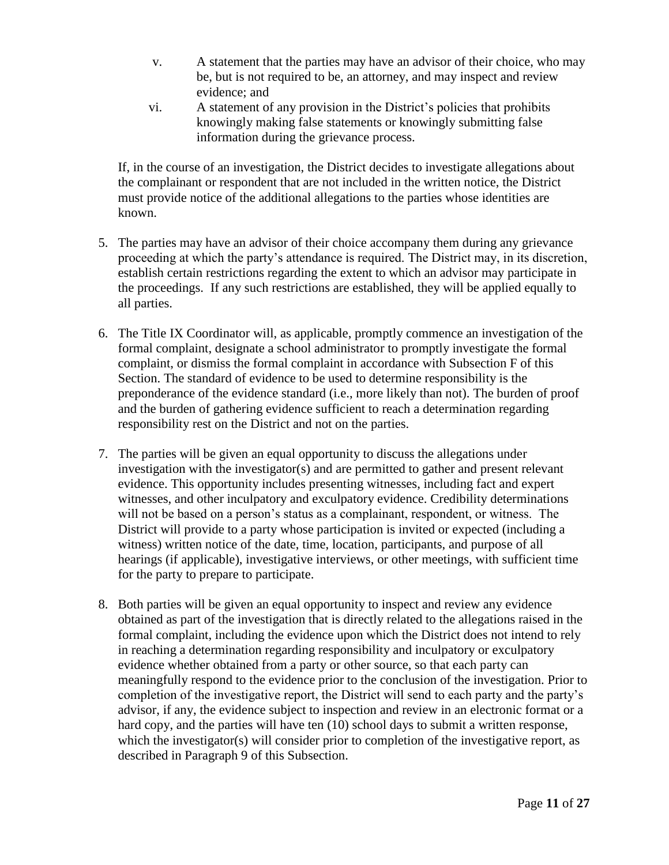- v. A statement that the parties may have an advisor of their choice, who may be, but is not required to be, an attorney, and may inspect and review evidence; and
- vi. A statement of any provision in the District's policies that prohibits knowingly making false statements or knowingly submitting false information during the grievance process.

If, in the course of an investigation, the District decides to investigate allegations about the complainant or respondent that are not included in the written notice, the District must provide notice of the additional allegations to the parties whose identities are known.

- 5. The parties may have an advisor of their choice accompany them during any grievance proceeding at which the party's attendance is required. The District may, in its discretion, establish certain restrictions regarding the extent to which an advisor may participate in the proceedings. If any such restrictions are established, they will be applied equally to all parties.
- 6. The Title IX Coordinator will, as applicable, promptly commence an investigation of the formal complaint, designate a school administrator to promptly investigate the formal complaint, or dismiss the formal complaint in accordance with Subsection F of this Section. The standard of evidence to be used to determine responsibility is the preponderance of the evidence standard (i.e., more likely than not). The burden of proof and the burden of gathering evidence sufficient to reach a determination regarding responsibility rest on the District and not on the parties.
- 7. The parties will be given an equal opportunity to discuss the allegations under investigation with the investigator(s) and are permitted to gather and present relevant evidence. This opportunity includes presenting witnesses, including fact and expert witnesses, and other inculpatory and exculpatory evidence. Credibility determinations will not be based on a person's status as a complainant, respondent, or witness. The District will provide to a party whose participation is invited or expected (including a witness) written notice of the date, time, location, participants, and purpose of all hearings (if applicable), investigative interviews, or other meetings, with sufficient time for the party to prepare to participate.
- 8. Both parties will be given an equal opportunity to inspect and review any evidence obtained as part of the investigation that is directly related to the allegations raised in the formal complaint, including the evidence upon which the District does not intend to rely in reaching a determination regarding responsibility and inculpatory or exculpatory evidence whether obtained from a party or other source, so that each party can meaningfully respond to the evidence prior to the conclusion of the investigation. Prior to completion of the investigative report, the District will send to each party and the party's advisor, if any, the evidence subject to inspection and review in an electronic format or a hard copy, and the parties will have ten (10) school days to submit a written response, which the investigator(s) will consider prior to completion of the investigative report, as described in Paragraph 9 of this Subsection.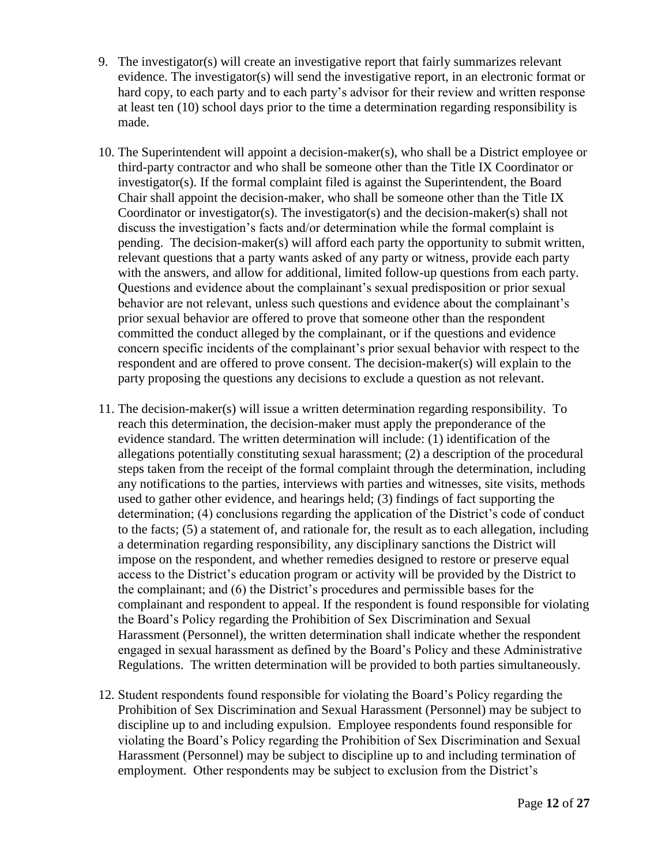- 9. The investigator(s) will create an investigative report that fairly summarizes relevant evidence. The investigator(s) will send the investigative report, in an electronic format or hard copy, to each party and to each party's advisor for their review and written response at least ten (10) school days prior to the time a determination regarding responsibility is made.
- 10. The Superintendent will appoint a decision-maker(s), who shall be a District employee or third-party contractor and who shall be someone other than the Title IX Coordinator or investigator(s). If the formal complaint filed is against the Superintendent, the Board Chair shall appoint the decision-maker, who shall be someone other than the Title IX Coordinator or investigator(s). The investigator(s) and the decision-maker(s) shall not discuss the investigation's facts and/or determination while the formal complaint is pending. The decision-maker(s) will afford each party the opportunity to submit written, relevant questions that a party wants asked of any party or witness, provide each party with the answers, and allow for additional, limited follow-up questions from each party. Questions and evidence about the complainant's sexual predisposition or prior sexual behavior are not relevant, unless such questions and evidence about the complainant's prior sexual behavior are offered to prove that someone other than the respondent committed the conduct alleged by the complainant, or if the questions and evidence concern specific incidents of the complainant's prior sexual behavior with respect to the respondent and are offered to prove consent. The decision-maker(s) will explain to the party proposing the questions any decisions to exclude a question as not relevant.
- 11. The decision-maker(s) will issue a written determination regarding responsibility. To reach this determination, the decision-maker must apply the preponderance of the evidence standard. The written determination will include: (1) identification of the allegations potentially constituting sexual harassment; (2) a description of the procedural steps taken from the receipt of the formal complaint through the determination, including any notifications to the parties, interviews with parties and witnesses, site visits, methods used to gather other evidence, and hearings held; (3) findings of fact supporting the determination; (4) conclusions regarding the application of the District's code of conduct to the facts; (5) a statement of, and rationale for, the result as to each allegation, including a determination regarding responsibility, any disciplinary sanctions the District will impose on the respondent, and whether remedies designed to restore or preserve equal access to the District's education program or activity will be provided by the District to the complainant; and (6) the District's procedures and permissible bases for the complainant and respondent to appeal. If the respondent is found responsible for violating the Board's Policy regarding the Prohibition of Sex Discrimination and Sexual Harassment (Personnel), the written determination shall indicate whether the respondent engaged in sexual harassment as defined by the Board's Policy and these Administrative Regulations. The written determination will be provided to both parties simultaneously.
- 12. Student respondents found responsible for violating the Board's Policy regarding the Prohibition of Sex Discrimination and Sexual Harassment (Personnel) may be subject to discipline up to and including expulsion. Employee respondents found responsible for violating the Board's Policy regarding the Prohibition of Sex Discrimination and Sexual Harassment (Personnel) may be subject to discipline up to and including termination of employment. Other respondents may be subject to exclusion from the District's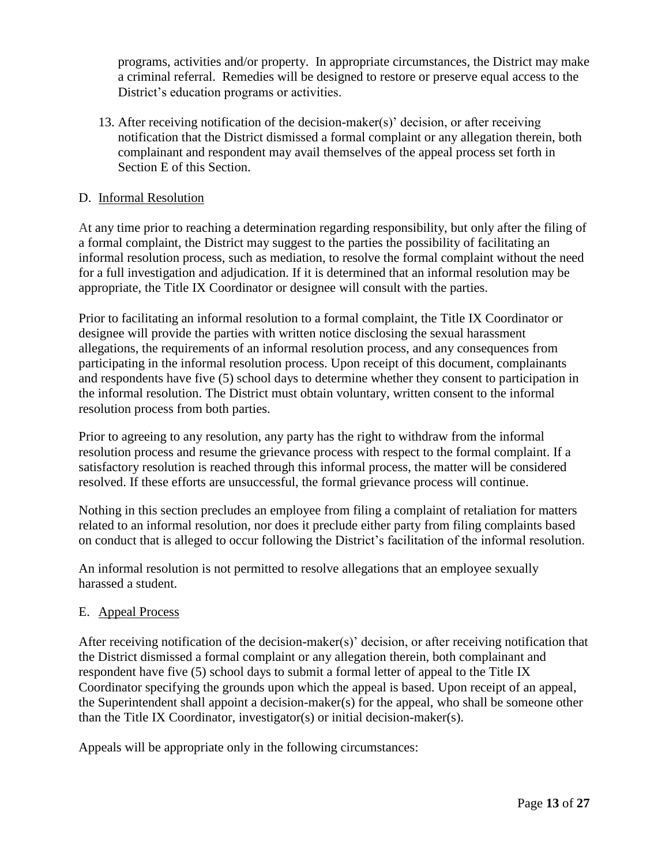programs, activities and/or property. In appropriate circumstances, the District may make a criminal referral. Remedies will be designed to restore or preserve equal access to the District's education programs or activities.

13. After receiving notification of the decision-maker(s)' decision, or after receiving notification that the District dismissed a formal complaint or any allegation therein, both complainant and respondent may avail themselves of the appeal process set forth in Section E of this Section.

#### D. Informal Resolution

At any time prior to reaching a determination regarding responsibility, but only after the filing of a formal complaint, the District may suggest to the parties the possibility of facilitating an informal resolution process, such as mediation, to resolve the formal complaint without the need for a full investigation and adjudication. If it is determined that an informal resolution may be appropriate, the Title IX Coordinator or designee will consult with the parties.

Prior to facilitating an informal resolution to a formal complaint, the Title IX Coordinator or designee will provide the parties with written notice disclosing the sexual harassment allegations, the requirements of an informal resolution process, and any consequences from participating in the informal resolution process. Upon receipt of this document, complainants and respondents have five (5) school days to determine whether they consent to participation in the informal resolution. The District must obtain voluntary, written consent to the informal resolution process from both parties.

Prior to agreeing to any resolution, any party has the right to withdraw from the informal resolution process and resume the grievance process with respect to the formal complaint. If a satisfactory resolution is reached through this informal process, the matter will be considered resolved. If these efforts are unsuccessful, the formal grievance process will continue.

Nothing in this section precludes an employee from filing a complaint of retaliation for matters related to an informal resolution, nor does it preclude either party from filing complaints based on conduct that is alleged to occur following the District's facilitation of the informal resolution.

An informal resolution is not permitted to resolve allegations that an employee sexually harassed a student.

### E. Appeal Process

After receiving notification of the decision-maker(s)' decision, or after receiving notification that the District dismissed a formal complaint or any allegation therein, both complainant and respondent have five (5) school days to submit a formal letter of appeal to the Title IX Coordinator specifying the grounds upon which the appeal is based. Upon receipt of an appeal, the Superintendent shall appoint a decision-maker(s) for the appeal, who shall be someone other than the Title IX Coordinator, investigator(s) or initial decision-maker(s).

Appeals will be appropriate only in the following circumstances: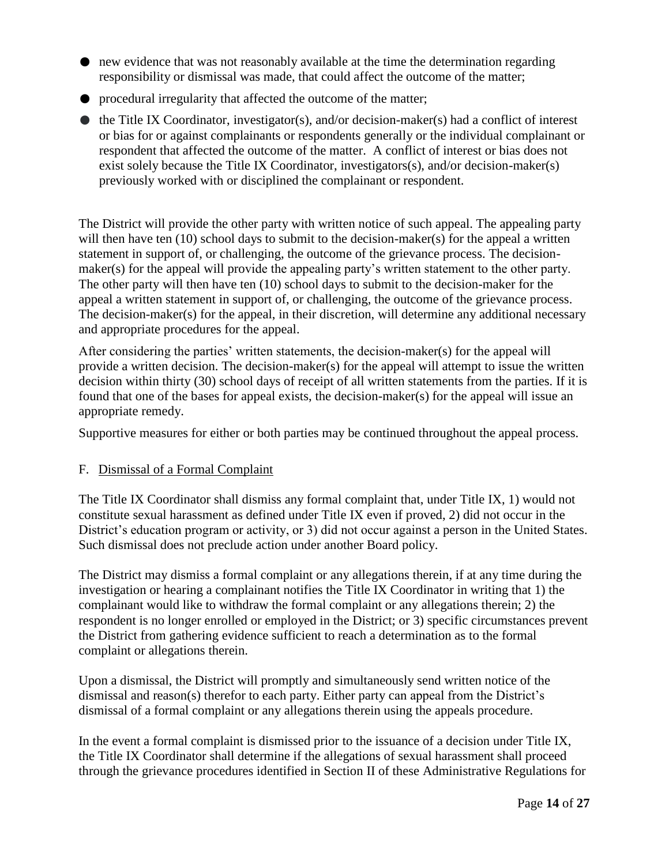- new evidence that was not reasonably available at the time the determination regarding responsibility or dismissal was made, that could affect the outcome of the matter;
- procedural irregularity that affected the outcome of the matter;
- $\bullet$  the Title IX Coordinator, investigator(s), and/or decision-maker(s) had a conflict of interest or bias for or against complainants or respondents generally or the individual complainant or respondent that affected the outcome of the matter. A conflict of interest or bias does not exist solely because the Title IX Coordinator, investigators(s), and/or decision-maker(s) previously worked with or disciplined the complainant or respondent.

The District will provide the other party with written notice of such appeal. The appealing party will then have ten (10) school days to submit to the decision-maker(s) for the appeal a written statement in support of, or challenging, the outcome of the grievance process. The decisionmaker(s) for the appeal will provide the appealing party's written statement to the other party. The other party will then have ten (10) school days to submit to the decision-maker for the appeal a written statement in support of, or challenging, the outcome of the grievance process. The decision-maker(s) for the appeal, in their discretion, will determine any additional necessary and appropriate procedures for the appeal.

After considering the parties' written statements, the decision-maker(s) for the appeal will provide a written decision. The decision-maker(s) for the appeal will attempt to issue the written decision within thirty (30) school days of receipt of all written statements from the parties. If it is found that one of the bases for appeal exists, the decision-maker(s) for the appeal will issue an appropriate remedy.

Supportive measures for either or both parties may be continued throughout the appeal process.

### F. Dismissal of a Formal Complaint

The Title IX Coordinator shall dismiss any formal complaint that, under Title IX, 1) would not constitute sexual harassment as defined under Title IX even if proved, 2) did not occur in the District's education program or activity, or 3) did not occur against a person in the United States. Such dismissal does not preclude action under another Board policy.

The District may dismiss a formal complaint or any allegations therein, if at any time during the investigation or hearing a complainant notifies the Title IX Coordinator in writing that 1) the complainant would like to withdraw the formal complaint or any allegations therein; 2) the respondent is no longer enrolled or employed in the District; or 3) specific circumstances prevent the District from gathering evidence sufficient to reach a determination as to the formal complaint or allegations therein.

Upon a dismissal, the District will promptly and simultaneously send written notice of the dismissal and reason(s) therefor to each party. Either party can appeal from the District's dismissal of a formal complaint or any allegations therein using the appeals procedure.

In the event a formal complaint is dismissed prior to the issuance of a decision under Title IX, the Title IX Coordinator shall determine if the allegations of sexual harassment shall proceed through the grievance procedures identified in Section II of these Administrative Regulations for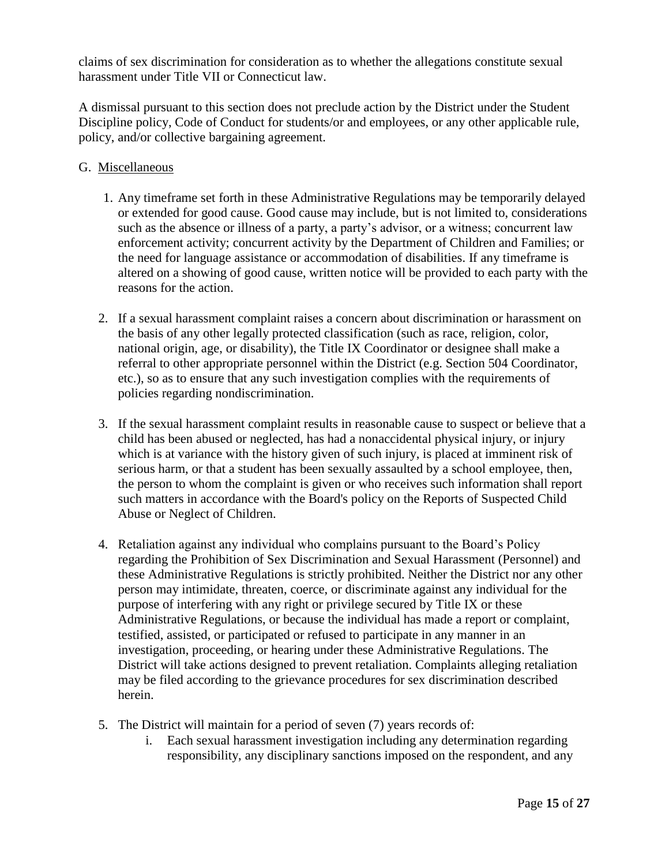claims of sex discrimination for consideration as to whether the allegations constitute sexual harassment under Title VII or Connecticut law.

A dismissal pursuant to this section does not preclude action by the District under the Student Discipline policy, Code of Conduct for students/or and employees, or any other applicable rule, policy, and/or collective bargaining agreement.

#### G. Miscellaneous

- 1. Any timeframe set forth in these Administrative Regulations may be temporarily delayed or extended for good cause. Good cause may include, but is not limited to, considerations such as the absence or illness of a party, a party's advisor, or a witness; concurrent law enforcement activity; concurrent activity by the Department of Children and Families; or the need for language assistance or accommodation of disabilities. If any timeframe is altered on a showing of good cause, written notice will be provided to each party with the reasons for the action.
- 2. If a sexual harassment complaint raises a concern about discrimination or harassment on the basis of any other legally protected classification (such as race, religion, color, national origin, age, or disability), the Title IX Coordinator or designee shall make a referral to other appropriate personnel within the District (e.g. Section 504 Coordinator, etc.), so as to ensure that any such investigation complies with the requirements of policies regarding nondiscrimination.
- 3. If the sexual harassment complaint results in reasonable cause to suspect or believe that a child has been abused or neglected, has had a nonaccidental physical injury, or injury which is at variance with the history given of such injury, is placed at imminent risk of serious harm, or that a student has been sexually assaulted by a school employee, then, the person to whom the complaint is given or who receives such information shall report such matters in accordance with the Board's policy on the Reports of Suspected Child Abuse or Neglect of Children.
- 4. Retaliation against any individual who complains pursuant to the Board's Policy regarding the Prohibition of Sex Discrimination and Sexual Harassment (Personnel) and these Administrative Regulations is strictly prohibited. Neither the District nor any other person may intimidate, threaten, coerce, or discriminate against any individual for the purpose of interfering with any right or privilege secured by Title IX or these Administrative Regulations, or because the individual has made a report or complaint, testified, assisted, or participated or refused to participate in any manner in an investigation, proceeding, or hearing under these Administrative Regulations. The District will take actions designed to prevent retaliation. Complaints alleging retaliation may be filed according to the grievance procedures for sex discrimination described herein.
- 5. The District will maintain for a period of seven (7) years records of:
	- i. Each sexual harassment investigation including any determination regarding responsibility, any disciplinary sanctions imposed on the respondent, and any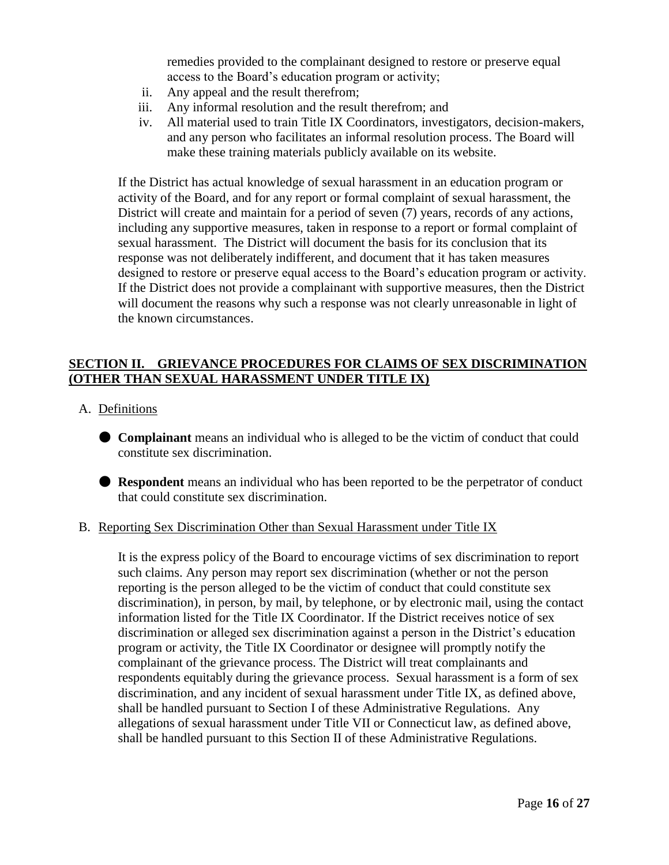remedies provided to the complainant designed to restore or preserve equal access to the Board's education program or activity;

- ii. Any appeal and the result therefrom;
- iii. Any informal resolution and the result therefrom; and
- iv. All material used to train Title IX Coordinators, investigators, decision-makers, and any person who facilitates an informal resolution process. The Board will make these training materials publicly available on its website.

If the District has actual knowledge of sexual harassment in an education program or activity of the Board, and for any report or formal complaint of sexual harassment, the District will create and maintain for a period of seven (7) years, records of any actions, including any supportive measures, taken in response to a report or formal complaint of sexual harassment. The District will document the basis for its conclusion that its response was not deliberately indifferent, and document that it has taken measures designed to restore or preserve equal access to the Board's education program or activity. If the District does not provide a complainant with supportive measures, then the District will document the reasons why such a response was not clearly unreasonable in light of the known circumstances.

### **SECTION II. GRIEVANCE PROCEDURES FOR CLAIMS OF SEX DISCRIMINATION (OTHER THAN SEXUAL HARASSMENT UNDER TITLE IX)**

- A. Definitions
	- **Complainant** means an individual who is alleged to be the victim of conduct that could constitute sex discrimination.
	- **Respondent** means an individual who has been reported to be the perpetrator of conduct that could constitute sex discrimination.

#### B. Reporting Sex Discrimination Other than Sexual Harassment under Title IX

It is the express policy of the Board to encourage victims of sex discrimination to report such claims. Any person may report sex discrimination (whether or not the person reporting is the person alleged to be the victim of conduct that could constitute sex discrimination), in person, by mail, by telephone, or by electronic mail, using the contact information listed for the Title IX Coordinator. If the District receives notice of sex discrimination or alleged sex discrimination against a person in the District's education program or activity, the Title IX Coordinator or designee will promptly notify the complainant of the grievance process. The District will treat complainants and respondents equitably during the grievance process. Sexual harassment is a form of sex discrimination, and any incident of sexual harassment under Title IX, as defined above, shall be handled pursuant to Section I of these Administrative Regulations. Any allegations of sexual harassment under Title VII or Connecticut law, as defined above, shall be handled pursuant to this Section II of these Administrative Regulations.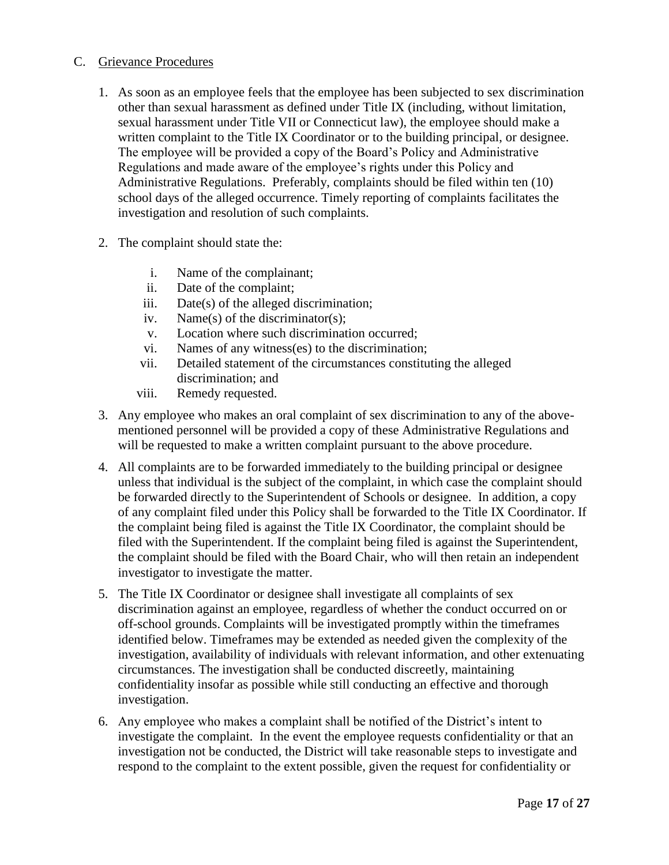#### C. Grievance Procedures

- 1. As soon as an employee feels that the employee has been subjected to sex discrimination other than sexual harassment as defined under Title IX (including, without limitation, sexual harassment under Title VII or Connecticut law), the employee should make a written complaint to the Title IX Coordinator or to the building principal, or designee. The employee will be provided a copy of the Board's Policy and Administrative Regulations and made aware of the employee's rights under this Policy and Administrative Regulations. Preferably, complaints should be filed within ten (10) school days of the alleged occurrence. Timely reporting of complaints facilitates the investigation and resolution of such complaints.
- 2. The complaint should state the:
	- i. Name of the complainant;
	- ii. Date of the complaint;
	- iii. Date(s) of the alleged discrimination;
	- iv. Name(s) of the discriminator(s);
	- v. Location where such discrimination occurred;
	- vi. Names of any witness(es) to the discrimination;
	- vii. Detailed statement of the circumstances constituting the alleged discrimination; and
	- viii. Remedy requested.
- 3. Any employee who makes an oral complaint of sex discrimination to any of the abovementioned personnel will be provided a copy of these Administrative Regulations and will be requested to make a written complaint pursuant to the above procedure.
- 4. All complaints are to be forwarded immediately to the building principal or designee unless that individual is the subject of the complaint, in which case the complaint should be forwarded directly to the Superintendent of Schools or designee. In addition, a copy of any complaint filed under this Policy shall be forwarded to the Title IX Coordinator. If the complaint being filed is against the Title IX Coordinator, the complaint should be filed with the Superintendent. If the complaint being filed is against the Superintendent, the complaint should be filed with the Board Chair, who will then retain an independent investigator to investigate the matter.
- 5. The Title IX Coordinator or designee shall investigate all complaints of sex discrimination against an employee, regardless of whether the conduct occurred on or off-school grounds. Complaints will be investigated promptly within the timeframes identified below. Timeframes may be extended as needed given the complexity of the investigation, availability of individuals with relevant information, and other extenuating circumstances. The investigation shall be conducted discreetly, maintaining confidentiality insofar as possible while still conducting an effective and thorough investigation.
- 6. Any employee who makes a complaint shall be notified of the District's intent to investigate the complaint. In the event the employee requests confidentiality or that an investigation not be conducted, the District will take reasonable steps to investigate and respond to the complaint to the extent possible, given the request for confidentiality or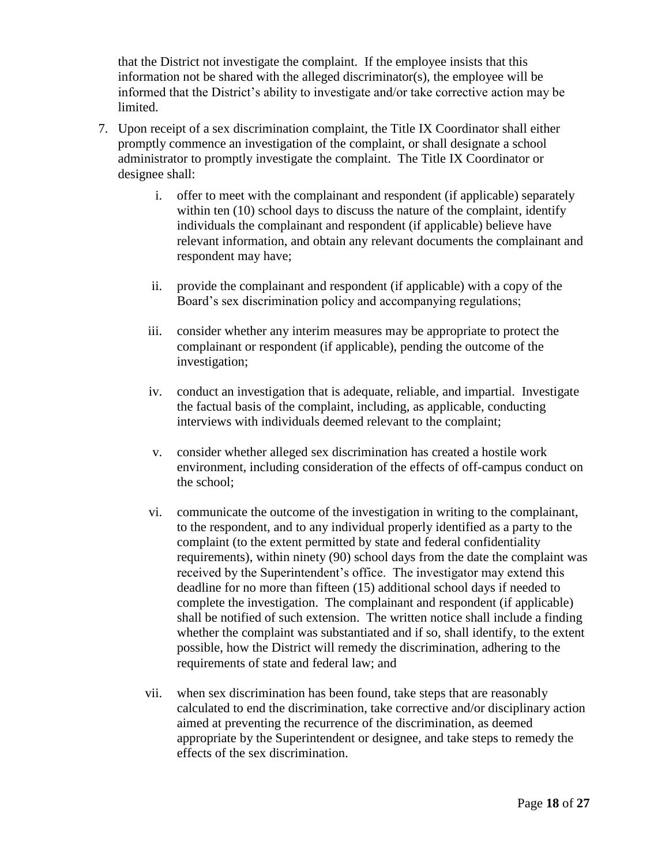that the District not investigate the complaint. If the employee insists that this information not be shared with the alleged discriminator(s), the employee will be informed that the District's ability to investigate and/or take corrective action may be limited.

- 7. Upon receipt of a sex discrimination complaint, the Title IX Coordinator shall either promptly commence an investigation of the complaint, or shall designate a school administrator to promptly investigate the complaint. The Title IX Coordinator or designee shall:
	- i. offer to meet with the complainant and respondent (if applicable) separately within ten (10) school days to discuss the nature of the complaint, identify individuals the complainant and respondent (if applicable) believe have relevant information, and obtain any relevant documents the complainant and respondent may have;
	- ii. provide the complainant and respondent (if applicable) with a copy of the Board's sex discrimination policy and accompanying regulations;
	- iii. consider whether any interim measures may be appropriate to protect the complainant or respondent (if applicable), pending the outcome of the investigation;
	- iv. conduct an investigation that is adequate, reliable, and impartial. Investigate the factual basis of the complaint, including, as applicable, conducting interviews with individuals deemed relevant to the complaint;
	- v. consider whether alleged sex discrimination has created a hostile work environment, including consideration of the effects of off-campus conduct on the school;
	- vi. communicate the outcome of the investigation in writing to the complainant, to the respondent, and to any individual properly identified as a party to the complaint (to the extent permitted by state and federal confidentiality requirements), within ninety (90) school days from the date the complaint was received by the Superintendent's office. The investigator may extend this deadline for no more than fifteen (15) additional school days if needed to complete the investigation. The complainant and respondent (if applicable) shall be notified of such extension. The written notice shall include a finding whether the complaint was substantiated and if so, shall identify, to the extent possible, how the District will remedy the discrimination, adhering to the requirements of state and federal law; and
	- vii. when sex discrimination has been found, take steps that are reasonably calculated to end the discrimination, take corrective and/or disciplinary action aimed at preventing the recurrence of the discrimination, as deemed appropriate by the Superintendent or designee, and take steps to remedy the effects of the sex discrimination.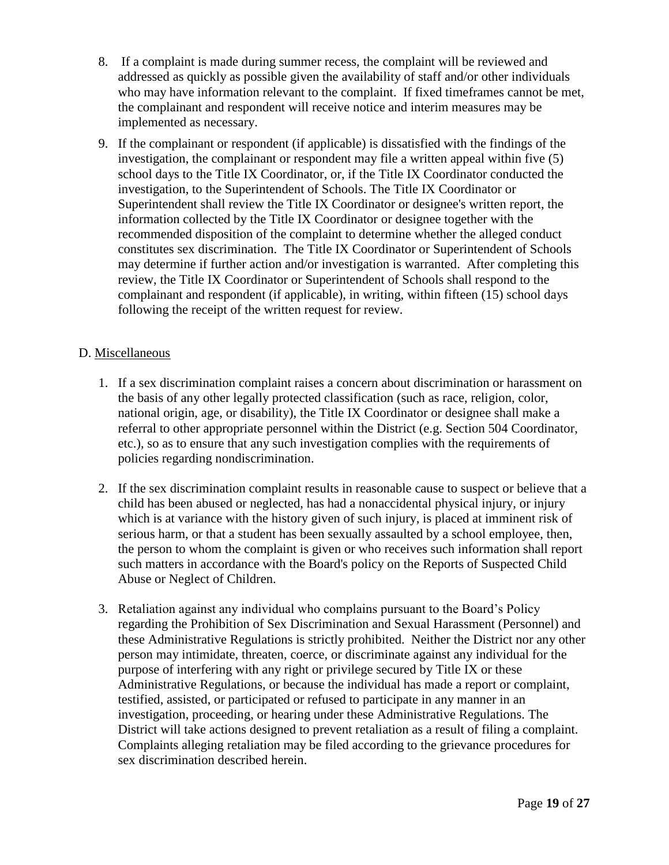- 8. If a complaint is made during summer recess, the complaint will be reviewed and addressed as quickly as possible given the availability of staff and/or other individuals who may have information relevant to the complaint. If fixed timeframes cannot be met, the complainant and respondent will receive notice and interim measures may be implemented as necessary.
- 9. If the complainant or respondent (if applicable) is dissatisfied with the findings of the investigation, the complainant or respondent may file a written appeal within five (5) school days to the Title IX Coordinator, or, if the Title IX Coordinator conducted the investigation, to the Superintendent of Schools. The Title IX Coordinator or Superintendent shall review the Title IX Coordinator or designee's written report, the information collected by the Title IX Coordinator or designee together with the recommended disposition of the complaint to determine whether the alleged conduct constitutes sex discrimination. The Title IX Coordinator or Superintendent of Schools may determine if further action and/or investigation is warranted. After completing this review, the Title IX Coordinator or Superintendent of Schools shall respond to the complainant and respondent (if applicable), in writing, within fifteen (15) school days following the receipt of the written request for review.

#### D. Miscellaneous

- 1. If a sex discrimination complaint raises a concern about discrimination or harassment on the basis of any other legally protected classification (such as race, religion, color, national origin, age, or disability), the Title IX Coordinator or designee shall make a referral to other appropriate personnel within the District (e.g. Section 504 Coordinator, etc.), so as to ensure that any such investigation complies with the requirements of policies regarding nondiscrimination.
- 2. If the sex discrimination complaint results in reasonable cause to suspect or believe that a child has been abused or neglected, has had a nonaccidental physical injury, or injury which is at variance with the history given of such injury, is placed at imminent risk of serious harm, or that a student has been sexually assaulted by a school employee, then, the person to whom the complaint is given or who receives such information shall report such matters in accordance with the Board's policy on the Reports of Suspected Child Abuse or Neglect of Children.
- 3. Retaliation against any individual who complains pursuant to the Board's Policy regarding the Prohibition of Sex Discrimination and Sexual Harassment (Personnel) and these Administrative Regulations is strictly prohibited. Neither the District nor any other person may intimidate, threaten, coerce, or discriminate against any individual for the purpose of interfering with any right or privilege secured by Title IX or these Administrative Regulations, or because the individual has made a report or complaint, testified, assisted, or participated or refused to participate in any manner in an investigation, proceeding, or hearing under these Administrative Regulations. The District will take actions designed to prevent retaliation as a result of filing a complaint. Complaints alleging retaliation may be filed according to the grievance procedures for sex discrimination described herein.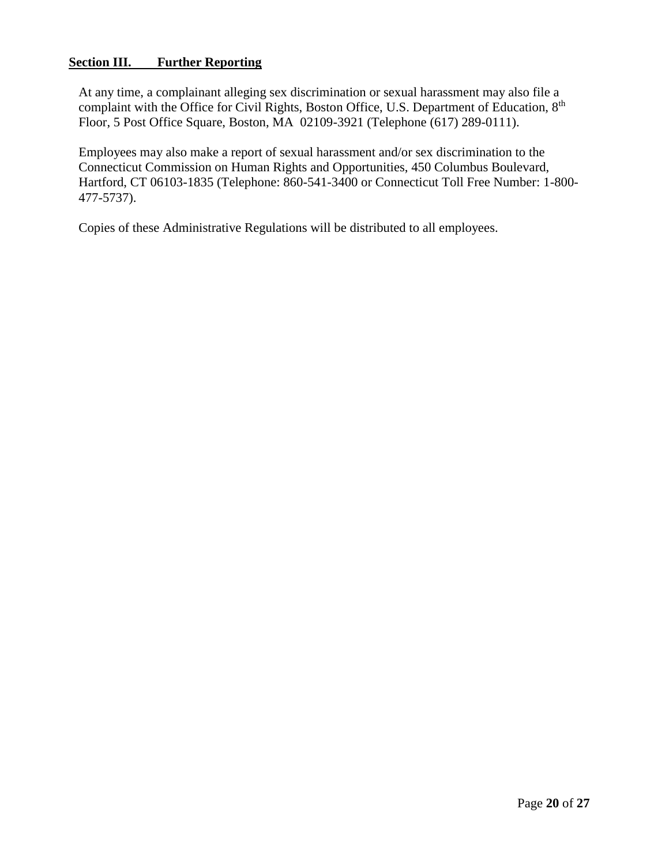### **Section III. Further Reporting**

At any time, a complainant alleging sex discrimination or sexual harassment may also file a complaint with the Office for Civil Rights, Boston Office, U.S. Department of Education, 8<sup>th</sup> Floor, 5 Post Office Square, Boston, MA 02109-3921 (Telephone (617) 289-0111).

Employees may also make a report of sexual harassment and/or sex discrimination to the Connecticut Commission on Human Rights and Opportunities, 450 Columbus Boulevard, Hartford, CT 06103-1835 (Telephone: 860-541-3400 or Connecticut Toll Free Number: 1-800- 477-5737).

Copies of these Administrative Regulations will be distributed to all employees.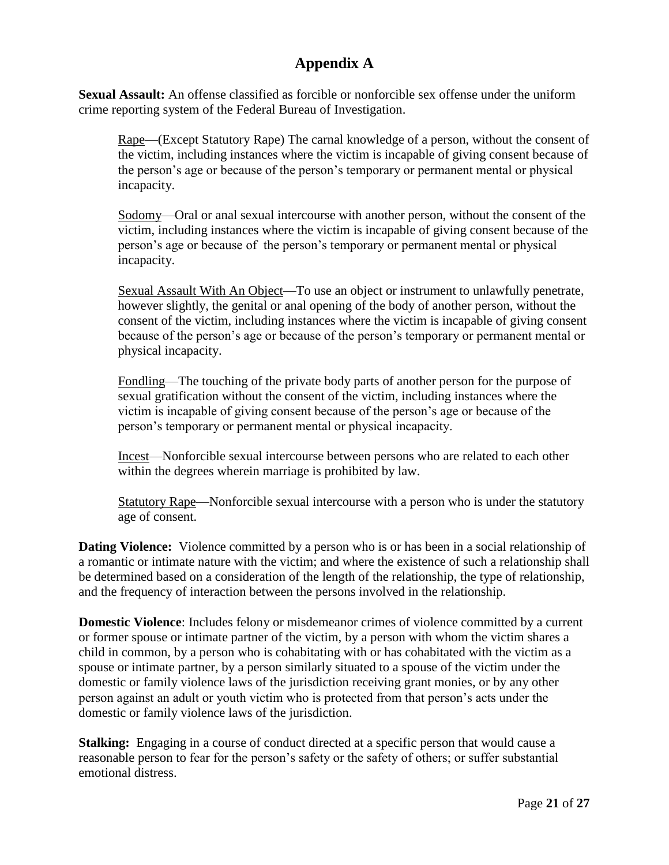# **Appendix A**

**Sexual Assault:** An offense classified as forcible or nonforcible sex offense under the uniform crime reporting system of the Federal Bureau of Investigation.

Rape—(Except Statutory Rape) The carnal knowledge of a person, without the consent of the victim, including instances where the victim is incapable of giving consent because of the person's age or because of the person's temporary or permanent mental or physical incapacity.

Sodomy—Oral or anal sexual intercourse with another person, without the consent of the victim, including instances where the victim is incapable of giving consent because of the person's age or because of the person's temporary or permanent mental or physical incapacity.

Sexual Assault With An Object—To use an object or instrument to unlawfully penetrate, however slightly, the genital or anal opening of the body of another person, without the consent of the victim, including instances where the victim is incapable of giving consent because of the person's age or because of the person's temporary or permanent mental or physical incapacity.

Fondling—The touching of the private body parts of another person for the purpose of sexual gratification without the consent of the victim, including instances where the victim is incapable of giving consent because of the person's age or because of the person's temporary or permanent mental or physical incapacity.

Incest—Nonforcible sexual intercourse between persons who are related to each other within the degrees wherein marriage is prohibited by law.

Statutory Rape—Nonforcible sexual intercourse with a person who is under the statutory age of consent.

**Dating Violence:** Violence committed by a person who is or has been in a social relationship of a romantic or intimate nature with the victim; and where the existence of such a relationship shall be determined based on a consideration of the length of the relationship, the type of relationship, and the frequency of interaction between the persons involved in the relationship.

**Domestic Violence**: Includes felony or misdemeanor crimes of violence committed by a current or former spouse or intimate partner of the victim, by a person with whom the victim shares a child in common, by a person who is cohabitating with or has cohabitated with the victim as a spouse or intimate partner, by a person similarly situated to a spouse of the victim under the domestic or family violence laws of the jurisdiction receiving grant monies, or by any other person against an adult or youth victim who is protected from that person's acts under the domestic or family violence laws of the jurisdiction.

**Stalking:** Engaging in a course of conduct directed at a specific person that would cause a reasonable person to fear for the person's safety or the safety of others; or suffer substantial emotional distress.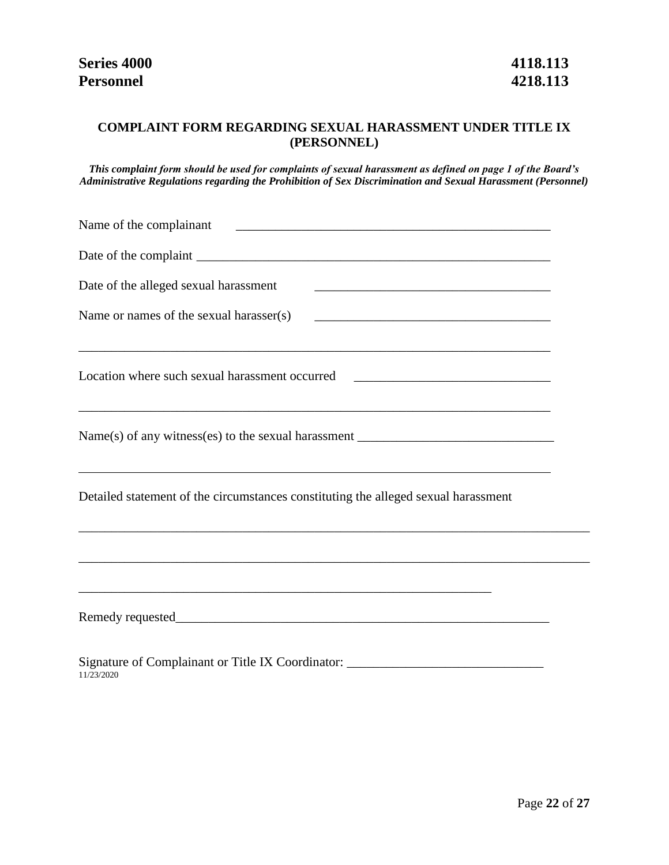## **COMPLAINT FORM REGARDING SEXUAL HARASSMENT UNDER TITLE IX (PERSONNEL)**

*This complaint form should be used for complaints of sexual harassment as defined on page 1 of the Board's Administrative Regulations regarding the Prohibition of Sex Discrimination and Sexual Harassment (Personnel)*

| Date of the alleged sexual harassment                                                                                                                                |  |
|----------------------------------------------------------------------------------------------------------------------------------------------------------------------|--|
| Name or names of the sexual harasser(s)                                                                                                                              |  |
| Location where such sexual harassment occurred _________________________________<br>,我们也不会有什么。""我们的人,我们也不会有什么?""我们的人,我们也不会有什么?""我们的人,我们也不会有什么?""我们的人,我们也不会有什么?""我们的人 |  |
| <u> 1989 - Johann Stoff, amerikansk politiker (d. 1989)</u>                                                                                                          |  |
| Detailed statement of the circumstances constituting the alleged sexual harassment                                                                                   |  |
| ,我们也不会有什么。""我们的人,我们也不会有什么?""我们的人,我们也不会有什么?""我们的人,我们也不会有什么?""我们的人,我们也不会有什么?""我们的人                                                                                     |  |
|                                                                                                                                                                      |  |
| Signature of Complainant or Title IX Coordinator: ______________________________<br>11/23/2020                                                                       |  |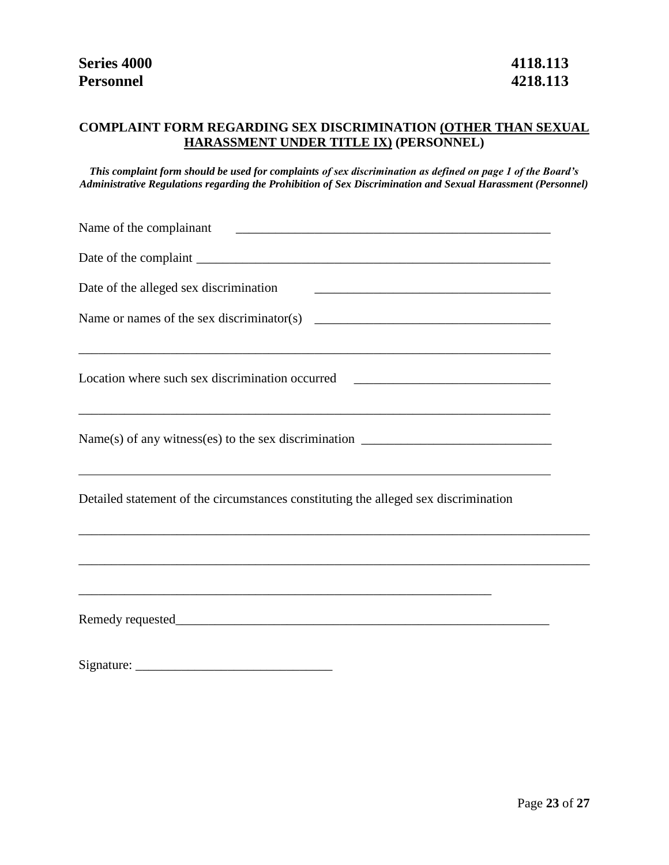## **COMPLAINT FORM REGARDING SEX DISCRIMINATION (OTHER THAN SEXUAL HARASSMENT UNDER TITLE IX) (PERSONNEL)**

*This complaint form should be used for complaints of sex discrimination as defined on page 1 of the Board's Administrative Regulations regarding the Prohibition of Sex Discrimination and Sexual Harassment (Personnel)*

| Name of the complainant                                                                                                                                                                                     |  |
|-------------------------------------------------------------------------------------------------------------------------------------------------------------------------------------------------------------|--|
|                                                                                                                                                                                                             |  |
| Date of the alleged sex discrimination                                                                                                                                                                      |  |
|                                                                                                                                                                                                             |  |
| ,我们也不能在这里的时候,我们也不能在这里的时候,我们也不能会在这里的时候,我们也不能会在这里的时候,我们也不能会在这里的时候,我们也不能会在这里的时候,我们也不<br>Location where such sex discrimination occurred ________________________________                                       |  |
| $Name(s)$ of any witness(es) to the sex discrimination $\_\_\_\_\_\_\_\_\_\_\_\_\_\_\_\_\_\_\_\_\_\_\_\_\_\_\_\_\_\_\_$<br>,我们也不会有什么。""我们的人,我们也不会有什么?""我们的人,我们也不会有什么?""我们的人,我们也不会有什么?""我们的人,我们也不会有什么?""我们的人 |  |
| Detailed statement of the circumstances constituting the alleged sex discrimination                                                                                                                         |  |
|                                                                                                                                                                                                             |  |
|                                                                                                                                                                                                             |  |
|                                                                                                                                                                                                             |  |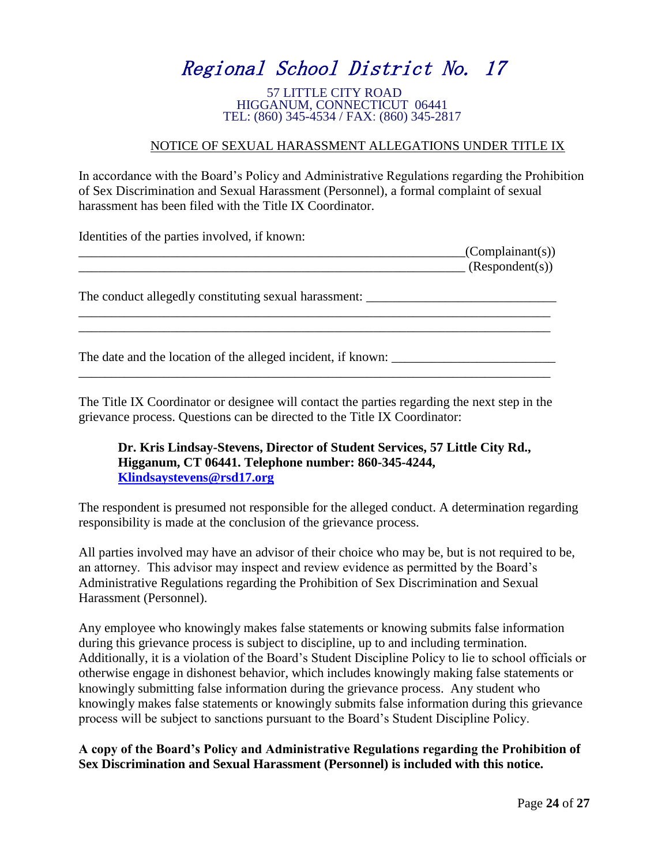# Regional School District No. 17

57 LITTLE CITY ROAD HIGGANUM, CONNECTICUT 06441 TEL: (860) 345-4534 / FAX: (860) 345-2817

#### NOTICE OF SEXUAL HARASSMENT ALLEGATIONS UNDER TITLE IX

In accordance with the Board's Policy and Administrative Regulations regarding the Prohibition of Sex Discrimination and Sexual Harassment (Personnel), a formal complaint of sexual harassment has been filed with the Title IX Coordinator.

Identities of the parties involved, if known:

|                                                       | (Complainant(s))<br>(Respondent(s)) |
|-------------------------------------------------------|-------------------------------------|
| The conduct allegedly constituting sexual harassment: |                                     |
|                                                       |                                     |

The date and the location of the alleged incident, if known: \_\_\_\_\_\_\_\_\_\_\_\_\_\_\_\_\_\_\_\_\_\_\_\_\_\_\_\_\_\_\_\_\_\_\_\_\_\_\_\_\_\_\_\_\_\_\_\_\_\_\_\_\_\_\_\_\_\_\_\_\_\_\_\_\_\_\_\_\_\_\_\_

The Title IX Coordinator or designee will contact the parties regarding the next step in the grievance process. Questions can be directed to the Title IX Coordinator:

#### **Dr. Kris Lindsay-Stevens, Director of Student Services, 57 Little City Rd., Higganum, CT 06441. Telephone number: 860-345-4244, [Klindsaystevens@rsd17.org](mailto:Klindsaystevens@rsd17.org)**

The respondent is presumed not responsible for the alleged conduct. A determination regarding responsibility is made at the conclusion of the grievance process.

All parties involved may have an advisor of their choice who may be, but is not required to be, an attorney. This advisor may inspect and review evidence as permitted by the Board's Administrative Regulations regarding the Prohibition of Sex Discrimination and Sexual Harassment (Personnel).

Any employee who knowingly makes false statements or knowing submits false information during this grievance process is subject to discipline, up to and including termination. Additionally, it is a violation of the Board's Student Discipline Policy to lie to school officials or otherwise engage in dishonest behavior, which includes knowingly making false statements or knowingly submitting false information during the grievance process. Any student who knowingly makes false statements or knowingly submits false information during this grievance process will be subject to sanctions pursuant to the Board's Student Discipline Policy.

### **A copy of the Board's Policy and Administrative Regulations regarding the Prohibition of Sex Discrimination and Sexual Harassment (Personnel) is included with this notice.**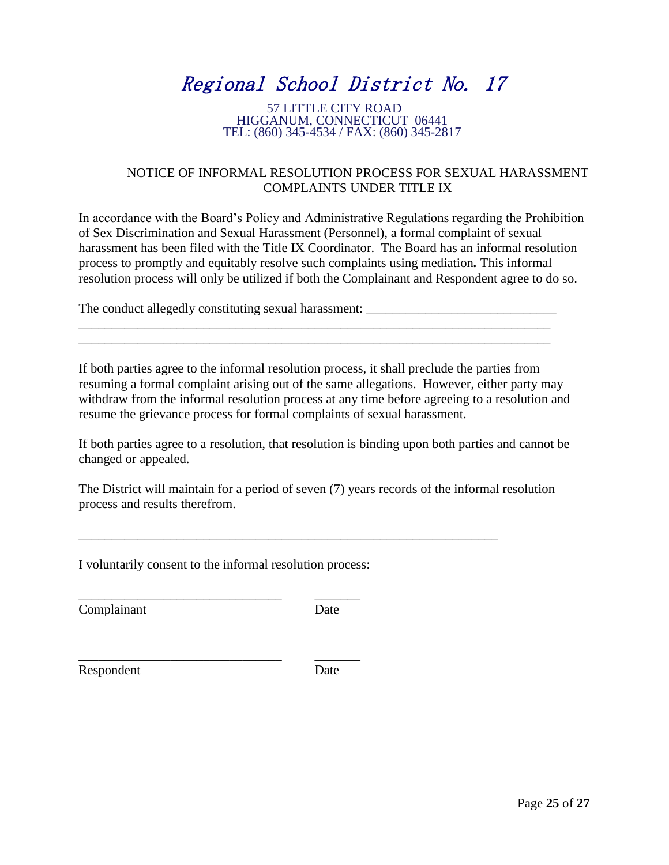# Regional School District No. 17

#### 57 LITTLE CITY ROAD HIGGANUM, CONNECTICUT 06441 TEL: (860) 345-4534 / FAX: (860) 345-2817

#### NOTICE OF INFORMAL RESOLUTION PROCESS FOR SEXUAL HARASSMENT COMPLAINTS UNDER TITLE IX

In accordance with the Board's Policy and Administrative Regulations regarding the Prohibition of Sex Discrimination and Sexual Harassment (Personnel), a formal complaint of sexual harassment has been filed with the Title IX Coordinator. The Board has an informal resolution process to promptly and equitably resolve such complaints using mediation*.* This informal resolution process will only be utilized if both the Complainant and Respondent agree to do so.

The conduct allegedly constituting sexual harassment:

If both parties agree to the informal resolution process, it shall preclude the parties from resuming a formal complaint arising out of the same allegations. However, either party may withdraw from the informal resolution process at any time before agreeing to a resolution and resume the grievance process for formal complaints of sexual harassment.

\_\_\_\_\_\_\_\_\_\_\_\_\_\_\_\_\_\_\_\_\_\_\_\_\_\_\_\_\_\_\_\_\_\_\_\_\_\_\_\_\_\_\_\_\_\_\_\_\_\_\_\_\_\_\_\_\_\_\_\_\_\_\_\_\_\_\_\_\_\_\_\_ \_\_\_\_\_\_\_\_\_\_\_\_\_\_\_\_\_\_\_\_\_\_\_\_\_\_\_\_\_\_\_\_\_\_\_\_\_\_\_\_\_\_\_\_\_\_\_\_\_\_\_\_\_\_\_\_\_\_\_\_\_\_\_\_\_\_\_\_\_\_\_\_

If both parties agree to a resolution, that resolution is binding upon both parties and cannot be changed or appealed.

The District will maintain for a period of seven (7) years records of the informal resolution process and results therefrom.

\_\_\_\_\_\_\_\_\_\_\_\_\_\_\_\_\_\_\_\_\_\_\_\_\_\_\_\_\_\_\_\_\_\_\_\_\_\_\_\_\_\_\_\_\_\_\_\_\_\_\_\_\_\_\_\_\_\_\_\_\_\_\_\_

I voluntarily consent to the informal resolution process:

\_\_\_\_\_\_\_\_\_\_\_\_\_\_\_\_\_\_\_\_\_\_\_\_\_\_\_\_\_\_\_ \_\_\_\_\_\_\_

\_\_\_\_\_\_\_\_\_\_\_\_\_\_\_\_\_\_\_\_\_\_\_\_\_\_\_\_\_\_\_ \_\_\_\_\_\_\_

Complainant Date

Respondent Date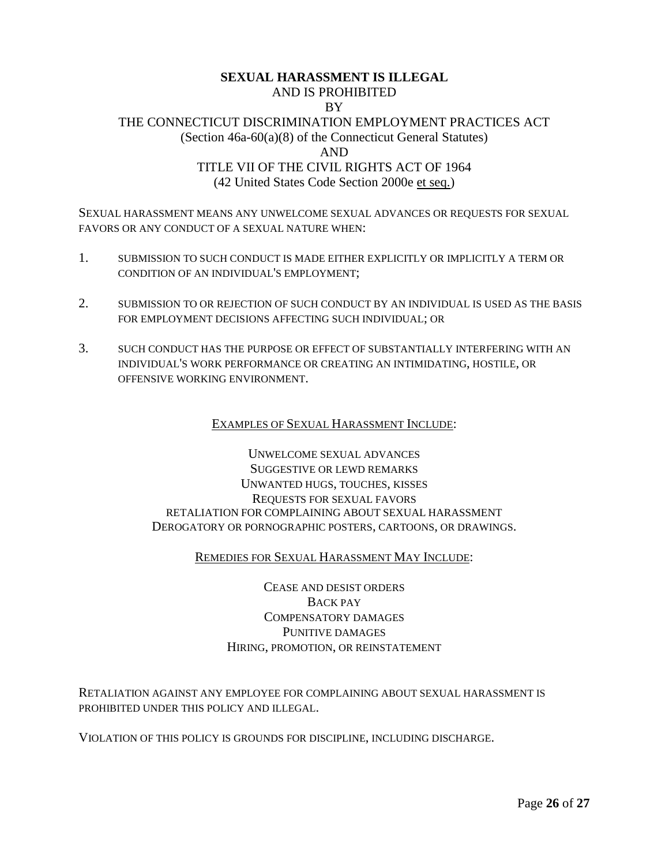#### **SEXUAL HARASSMENT IS ILLEGAL** AND IS PROHIBITED BY THE CONNECTICUT DISCRIMINATION EMPLOYMENT PRACTICES ACT (Section 46a-60(a)(8) of the Connecticut General Statutes) AND TITLE VII OF THE CIVIL RIGHTS ACT OF 1964 (42 United States Code Section 2000e et seq.)

SEXUAL HARASSMENT MEANS ANY UNWELCOME SEXUAL ADVANCES OR REQUESTS FOR SEXUAL FAVORS OR ANY CONDUCT OF A SEXUAL NATURE WHEN:

- 1. SUBMISSION TO SUCH CONDUCT IS MADE EITHER EXPLICITLY OR IMPLICITLY A TERM OR CONDITION OF AN INDIVIDUAL'S EMPLOYMENT;
- 2. SUBMISSION TO OR REJECTION OF SUCH CONDUCT BY AN INDIVIDUAL IS USED AS THE BASIS FOR EMPLOYMENT DECISIONS AFFECTING SUCH INDIVIDUAL; OR
- 3. SUCH CONDUCT HAS THE PURPOSE OR EFFECT OF SUBSTANTIALLY INTERFERING WITH AN INDIVIDUAL'S WORK PERFORMANCE OR CREATING AN INTIMIDATING, HOSTILE, OR OFFENSIVE WORKING ENVIRONMENT.

#### EXAMPLES OF SEXUAL HARASSMENT INCLUDE:

UNWELCOME SEXUAL ADVANCES SUGGESTIVE OR LEWD REMARKS UNWANTED HUGS, TOUCHES, KISSES REQUESTS FOR SEXUAL FAVORS RETALIATION FOR COMPLAINING ABOUT SEXUAL HARASSMENT DEROGATORY OR PORNOGRAPHIC POSTERS, CARTOONS, OR DRAWINGS.

#### REMEDIES FOR SEXUAL HARASSMENT MAY INCLUDE:

CEASE AND DESIST ORDERS BACK PAY COMPENSATORY DAMAGES PUNITIVE DAMAGES HIRING, PROMOTION, OR REINSTATEMENT

RETALIATION AGAINST ANY EMPLOYEE FOR COMPLAINING ABOUT SEXUAL HARASSMENT IS PROHIBITED UNDER THIS POLICY AND ILLEGAL.

VIOLATION OF THIS POLICY IS GROUNDS FOR DISCIPLINE, INCLUDING DISCHARGE.